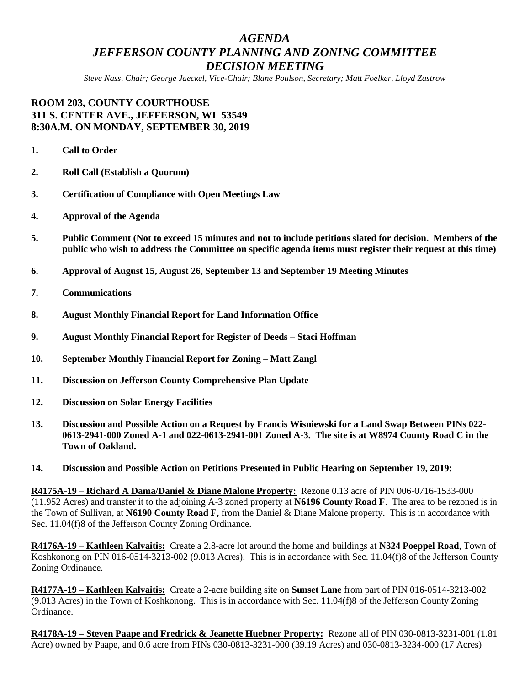# *AGENDA JEFFERSON COUNTY PLANNING AND ZONING COMMITTEE DECISION MEETING*

*Steve Nass, Chair; George Jaeckel, Vice-Chair; Blane Poulson, Secretary; Matt Foelker, Lloyd Zastrow*

## **ROOM 203, COUNTY COURTHOUSE 311 S. CENTER AVE., JEFFERSON, WI 53549 8:30A.M. ON MONDAY, SEPTEMBER 30, 2019**

- **1. Call to Order**
- **2. Roll Call (Establish a Quorum)**
- **3. Certification of Compliance with Open Meetings Law**
- **4. Approval of the Agenda**
- **5. Public Comment (Not to exceed 15 minutes and not to include petitions slated for decision. Members of the public who wish to address the Committee on specific agenda items must register their request at this time)**
- **6. Approval of August 15, August 26, September 13 and September 19 Meeting Minutes**
- **7. Communications**
- **8. August Monthly Financial Report for Land Information Office**
- **9. August Monthly Financial Report for Register of Deeds – Staci Hoffman**
- **10. September Monthly Financial Report for Zoning – Matt Zangl**
- **11. Discussion on Jefferson County Comprehensive Plan Update**
- **12. Discussion on Solar Energy Facilities**
- **13. Discussion and Possible Action on a Request by Francis Wisniewski for a Land Swap Between PINs 022- 0613-2941-000 Zoned A-1 and 022-0613-2941-001 Zoned A-3. The site is at W8974 County Road C in the Town of Oakland.**
- **14. Discussion and Possible Action on Petitions Presented in Public Hearing on September 19, 2019:**

**R4175A-19 – Richard A Dama/Daniel & Diane Malone Property:** Rezone 0.13 acre of PIN 006-0716-1533-000 (11.952 Acres) and transfer it to the adjoining A-3 zoned property at **N6196 County Road F**. The area to be rezoned is in the Town of Sullivan, at **N6190 County Road F,** from the Daniel & Diane Malone property**.** This is in accordance with Sec. 11.04(f)8 of the Jefferson County Zoning Ordinance.

**R4176A-19 – Kathleen Kalvaitis:** Create a 2.8-acre lot around the home and buildings at **N324 Poeppel Road**, Town of Koshkonong on PIN 016-0514-3213-002 (9.013 Acres). This is in accordance with Sec. 11.04(f)8 of the Jefferson County Zoning Ordinance.

**R4177A-19 – Kathleen Kalvaitis:** Create a 2-acre building site on **Sunset Lane** from part of PIN 016-0514-3213-002 (9.013 Acres) in the Town of Koshkonong. This is in accordance with Sec. 11.04(f)8 of the Jefferson County Zoning Ordinance.

**R4178A-19 – Steven Paape and Fredrick & Jeanette Huebner Property:** Rezone all of PIN 030-0813-3231-001 (1.81 Acre) owned by Paape, and 0.6 acre from PINs 030-0813-3231-000 (39.19 Acres) and 030-0813-3234-000 (17 Acres)